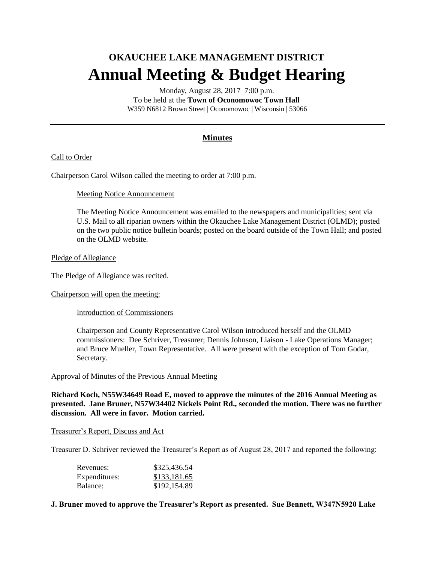# **OKAUCHEE LAKE MANAGEMENT DISTRICT Annual Meeting & Budget Hearing**

Monday, August 28, 2017 7:00 p.m. To be held at the **Town of Oconomowoc Town Hall** W359 N6812 Brown Street | Oconomowoc | Wisconsin | 53066

# **Minutes**

# Call to Order

Chairperson Carol Wilson called the meeting to order at 7:00 p.m.

## Meeting Notice Announcement

The Meeting Notice Announcement was emailed to the newspapers and municipalities; sent via U.S. Mail to all riparian owners within the Okauchee Lake Management District (OLMD); posted on the two public notice bulletin boards; posted on the board outside of the Town Hall; and posted on the OLMD website.

## Pledge of Allegiance

The Pledge of Allegiance was recited.

Chairperson will open the meeting:

Introduction of Commissioners

Chairperson and County Representative Carol Wilson introduced herself and the OLMD commissioners: Dee Schriver, Treasurer; Dennis Johnson, Liaison - Lake Operations Manager; and Bruce Mueller, Town Representative. All were present with the exception of Tom Godar, Secretary.

#### Approval of Minutes of the Previous Annual Meeting

**Richard Koch, N55W34649 Road E, moved to approve the minutes of the 2016 Annual Meeting as presented. Jane Bruner, N57W34402 Nickels Point Rd., seconded the motion. There was no further discussion. All were in favor. Motion carried.** 

#### Treasurer's Report, Discuss and Act

Treasurer D. Schriver reviewed the Treasurer's Report as of August 28, 2017 and reported the following:

| Revenues:     | \$325,436.54 |
|---------------|--------------|
| Expenditures: | \$133,181.65 |
| Balance:      | \$192,154.89 |

# **J. Bruner moved to approve the Treasurer's Report as presented. Sue Bennett, W347N5920 Lake**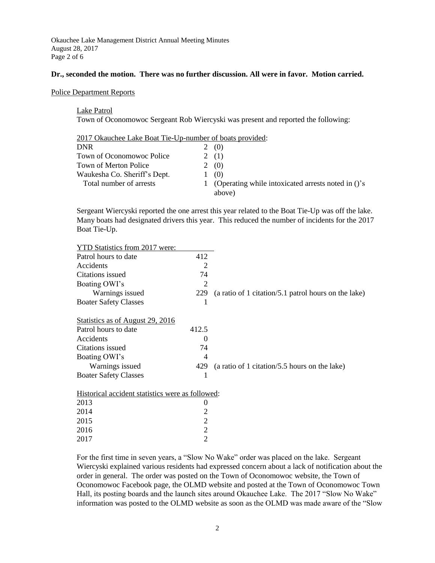Okauchee Lake Management District Annual Meeting Minutes August 28, 2017 Page 2 of 6

#### **Dr., seconded the motion. There was no further discussion. All were in favor. Motion carried.**

Police Department Reports

Lake Patrol Town of Oconomowoc Sergeant Rob Wiercyski was present and reported the following:

| 2017 Okauchee Lake Boat Tie-Up-number of boats provided: |                                                                |
|----------------------------------------------------------|----------------------------------------------------------------|
| <b>DNR</b>                                               | (0)                                                            |
| Town of Oconomowoc Police                                | 2(1)                                                           |
| Town of Merton Police                                    | (0)                                                            |
| Waukesha Co. Sheriff's Dept.                             | (0)                                                            |
| Total number of arrests                                  | 1 (Operating while intoxicated arrests noted in ()'s<br>above) |

Sergeant Wiercyski reported the one arrest this year related to the Boat Tie-Up was off the lake. Many boats had designated drivers this year. This reduced the number of incidents for the 2017 Boat Tie-Up.

| YTD Statistics from 2017 were:                   |                |                                                      |
|--------------------------------------------------|----------------|------------------------------------------------------|
| Patrol hours to date                             | 412            |                                                      |
| Accidents                                        | $\overline{2}$ |                                                      |
| Citations issued                                 | 74             |                                                      |
| Boating OWI's                                    | 2              |                                                      |
| Warnings issued                                  | 229            | (a ratio of 1 citation/5.1 patrol hours on the lake) |
| <b>Boater Safety Classes</b>                     | 1              |                                                      |
|                                                  |                |                                                      |
| Statistics as of August 29, 2016                 |                |                                                      |
| Patrol hours to date                             | 412.5          |                                                      |
| Accidents                                        | $\theta$       |                                                      |
| Citations issued                                 | 74             |                                                      |
| Boating OWI's                                    | 4              |                                                      |
| Warnings issued                                  | 429            | (a ratio of 1 citation/5.5 hours on the lake)        |
| <b>Boater Safety Classes</b>                     | 1              |                                                      |
|                                                  |                |                                                      |
| Historical accident statistics were as followed: |                |                                                      |
| 2013                                             | $\theta$       |                                                      |
| 2014                                             | 2              |                                                      |
| 2015                                             | 2              |                                                      |
| 2016                                             | $\overline{2}$ |                                                      |
| 2017                                             | $\overline{2}$ |                                                      |

For the first time in seven years, a "Slow No Wake" order was placed on the lake. Sergeant Wiercyski explained various residents had expressed concern about a lack of notification about the order in general. The order was posted on the Town of Oconomowoc website, the Town of Oconomowoc Facebook page, the OLMD website and posted at the Town of Oconomowoc Town Hall, its posting boards and the launch sites around Okauchee Lake. The 2017 "Slow No Wake" information was posted to the OLMD website as soon as the OLMD was made aware of the "Slow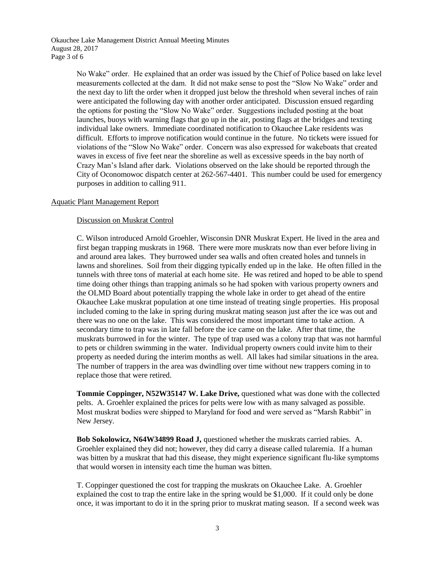Okauchee Lake Management District Annual Meeting Minutes August 28, 2017 Page 3 of 6

> No Wake" order. He explained that an order was issued by the Chief of Police based on lake level measurements collected at the dam. It did not make sense to post the "Slow No Wake" order and the next day to lift the order when it dropped just below the threshold when several inches of rain were anticipated the following day with another order anticipated. Discussion ensued regarding the options for posting the "Slow No Wake" order. Suggestions included posting at the boat launches, buoys with warning flags that go up in the air, posting flags at the bridges and texting individual lake owners. Immediate coordinated notification to Okauchee Lake residents was difficult. Efforts to improve notification would continue in the future. No tickets were issued for violations of the "Slow No Wake" order. Concern was also expressed for wakeboats that created waves in excess of five feet near the shoreline as well as excessive speeds in the bay north of Crazy Man's Island after dark. Violations observed on the lake should be reported through the City of Oconomowoc dispatch center at 262-567-4401. This number could be used for emergency purposes in addition to calling 911.

## Aquatic Plant Management Report

## Discussion on Muskrat Control

C. Wilson introduced Arnold Groehler, Wisconsin DNR Muskrat Expert. He lived in the area and first began trapping muskrats in 1968. There were more muskrats now than ever before living in and around area lakes. They burrowed under sea walls and often created holes and tunnels in lawns and shorelines. Soil from their digging typically ended up in the lake. He often filled in the tunnels with three tons of material at each home site. He was retired and hoped to be able to spend time doing other things than trapping animals so he had spoken with various property owners and the OLMD Board about potentially trapping the whole lake in order to get ahead of the entire Okauchee Lake muskrat population at one time instead of treating single properties. His proposal included coming to the lake in spring during muskrat mating season just after the ice was out and there was no one on the lake. This was considered the most important time to take action. A secondary time to trap was in late fall before the ice came on the lake. After that time, the muskrats burrowed in for the winter. The type of trap used was a colony trap that was not harmful to pets or children swimming in the water. Individual property owners could invite him to their property as needed during the interim months as well. All lakes had similar situations in the area. The number of trappers in the area was dwindling over time without new trappers coming in to replace those that were retired.

**Tommie Coppinger, N52W35147 W. Lake Drive,** questioned what was done with the collected pelts. A. Groehler explained the prices for pelts were low with as many salvaged as possible. Most muskrat bodies were shipped to Maryland for food and were served as "Marsh Rabbit" in New Jersey.

**Bob Sokolowicz, N64W34899 Road J,** questioned whether the muskrats carried rabies. A. Groehler explained they did not; however, they did carry a disease called tularemia. If a human was bitten by a muskrat that had this disease, they might experience significant flu-like symptoms that would worsen in intensity each time the human was bitten.

T. Coppinger questioned the cost for trapping the muskrats on Okauchee Lake. A. Groehler explained the cost to trap the entire lake in the spring would be \$1,000. If it could only be done once, it was important to do it in the spring prior to muskrat mating season. If a second week was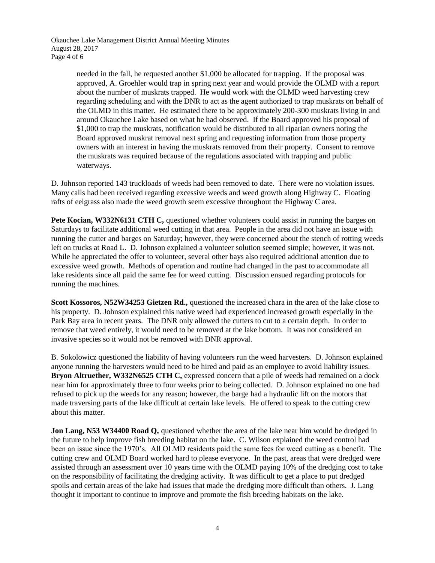Okauchee Lake Management District Annual Meeting Minutes August 28, 2017 Page 4 of 6

> needed in the fall, he requested another \$1,000 be allocated for trapping. If the proposal was approved, A. Groehler would trap in spring next year and would provide the OLMD with a report about the number of muskrats trapped. He would work with the OLMD weed harvesting crew regarding scheduling and with the DNR to act as the agent authorized to trap muskrats on behalf of the OLMD in this matter. He estimated there to be approximately 200-300 muskrats living in and around Okauchee Lake based on what he had observed. If the Board approved his proposal of \$1,000 to trap the muskrats, notification would be distributed to all riparian owners noting the Board approved muskrat removal next spring and requesting information from those property owners with an interest in having the muskrats removed from their property. Consent to remove the muskrats was required because of the regulations associated with trapping and public waterways.

D. Johnson reported 143 truckloads of weeds had been removed to date. There were no violation issues. Many calls had been received regarding excessive weeds and weed growth along Highway C. Floating rafts of eelgrass also made the weed growth seem excessive throughout the Highway C area.

**Pete Kocian, W332N6131 CTH C,** questioned whether volunteers could assist in running the barges on Saturdays to facilitate additional weed cutting in that area. People in the area did not have an issue with running the cutter and barges on Saturday; however, they were concerned about the stench of rotting weeds left on trucks at Road L. D. Johnson explained a volunteer solution seemed simple; however, it was not. While he appreciated the offer to volunteer, several other bays also required additional attention due to excessive weed growth. Methods of operation and routine had changed in the past to accommodate all lake residents since all paid the same fee for weed cutting. Discussion ensued regarding protocols for running the machines.

**Scott Kossoros, N52W34253 Gietzen Rd.,** questioned the increased chara in the area of the lake close to his property. D. Johnson explained this native weed had experienced increased growth especially in the Park Bay area in recent years. The DNR only allowed the cutters to cut to a certain depth. In order to remove that weed entirely, it would need to be removed at the lake bottom. It was not considered an invasive species so it would not be removed with DNR approval.

B. Sokolowicz questioned the liability of having volunteers run the weed harvesters. D. Johnson explained anyone running the harvesters would need to be hired and paid as an employee to avoid liability issues. **Bryon Altruether, W332N6525 CTH C,** expressed concern that a pile of weeds had remained on a dock near him for approximately three to four weeks prior to being collected. D. Johnson explained no one had refused to pick up the weeds for any reason; however, the barge had a hydraulic lift on the motors that made traversing parts of the lake difficult at certain lake levels. He offered to speak to the cutting crew about this matter.

**Jon Lang, N53 W34400 Road Q,** questioned whether the area of the lake near him would be dredged in the future to help improve fish breeding habitat on the lake. C. Wilson explained the weed control had been an issue since the 1970's. All OLMD residents paid the same fees for weed cutting as a benefit. The cutting crew and OLMD Board worked hard to please everyone. In the past, areas that were dredged were assisted through an assessment over 10 years time with the OLMD paying 10% of the dredging cost to take on the responsibility of facilitating the dredging activity. It was difficult to get a place to put dredged spoils and certain areas of the lake had issues that made the dredging more difficult than others. J. Lang thought it important to continue to improve and promote the fish breeding habitats on the lake.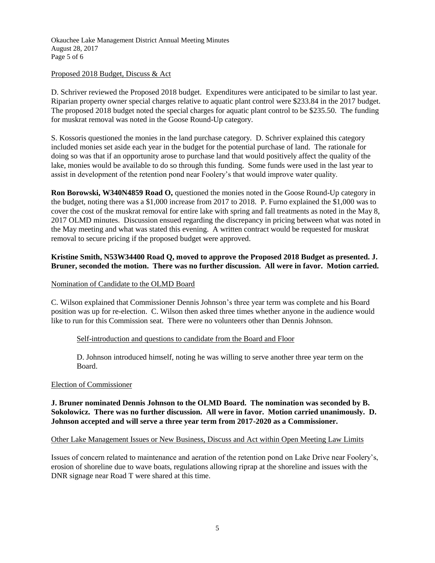Okauchee Lake Management District Annual Meeting Minutes August 28, 2017 Page 5 of 6

## Proposed 2018 Budget, Discuss & Act

D. Schriver reviewed the Proposed 2018 budget. Expenditures were anticipated to be similar to last year. Riparian property owner special charges relative to aquatic plant control were \$233.84 in the 2017 budget. The proposed 2018 budget noted the special charges for aquatic plant control to be \$235.50. The funding for muskrat removal was noted in the Goose Round-Up category.

S. Kossoris questioned the monies in the land purchase category. D. Schriver explained this category included monies set aside each year in the budget for the potential purchase of land. The rationale for doing so was that if an opportunity arose to purchase land that would positively affect the quality of the lake, monies would be available to do so through this funding. Some funds were used in the last year to assist in development of the retention pond near Foolery's that would improve water quality.

**Ron Borowski, W340N4859 Road O,** questioned the monies noted in the Goose Round-Up category in the budget, noting there was a \$1,000 increase from 2017 to 2018. P. Furno explained the \$1,000 was to cover the cost of the muskrat removal for entire lake with spring and fall treatments as noted in the May 8, 2017 OLMD minutes. Discussion ensued regarding the discrepancy in pricing between what was noted in the May meeting and what was stated this evening. A written contract would be requested for muskrat removal to secure pricing if the proposed budget were approved.

# **Kristine Smith, N53W34400 Road Q, moved to approve the Proposed 2018 Budget as presented. J. Bruner, seconded the motion. There was no further discussion. All were in favor. Motion carried.**

## Nomination of Candidate to the OLMD Board

C. Wilson explained that Commissioner Dennis Johnson's three year term was complete and his Board position was up for re-election. C. Wilson then asked three times whether anyone in the audience would like to run for this Commission seat. There were no volunteers other than Dennis Johnson.

# Self-introduction and questions to candidate from the Board and Floor

D. Johnson introduced himself, noting he was willing to serve another three year term on the Board.

#### Election of Commissioner

# **J. Bruner nominated Dennis Johnson to the OLMD Board. The nomination was seconded by B. Sokolowicz. There was no further discussion. All were in favor. Motion carried unanimously. D. Johnson accepted and will serve a three year term from 2017-2020 as a Commissioner.**

#### Other Lake Management Issues or New Business, Discuss and Act within Open Meeting Law Limits

Issues of concern related to maintenance and aeration of the retention pond on Lake Drive near Foolery's, erosion of shoreline due to wave boats, regulations allowing riprap at the shoreline and issues with the DNR signage near Road T were shared at this time.